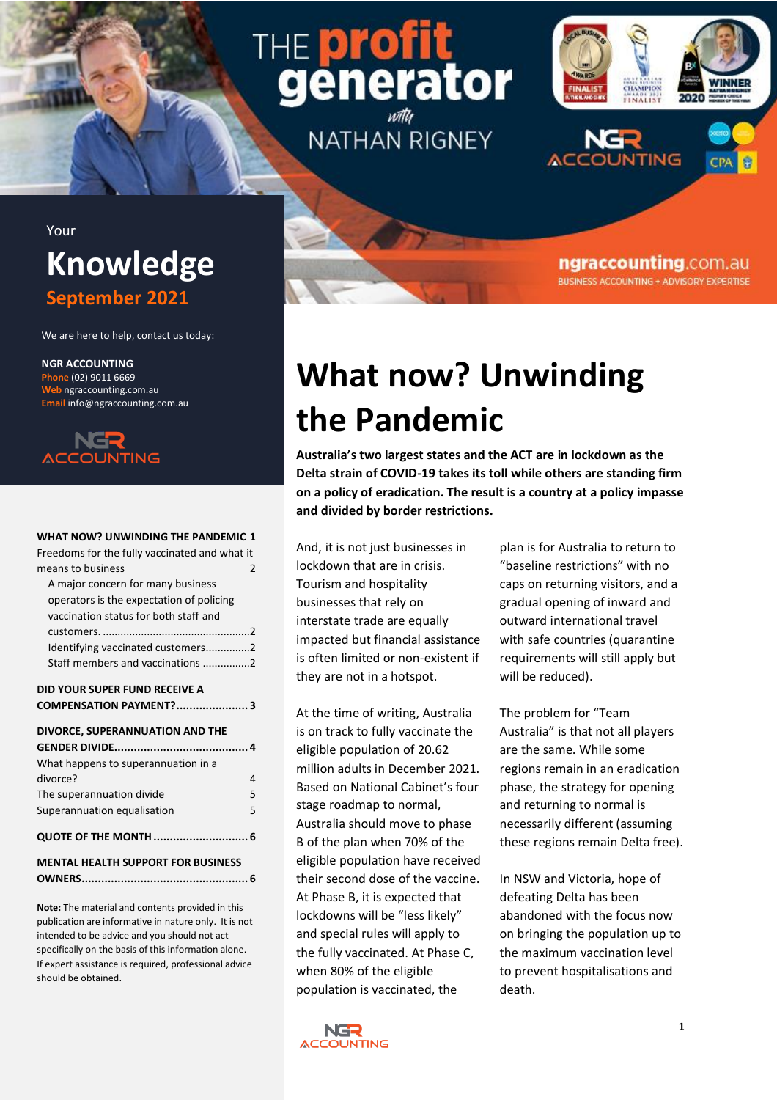# THE **DIA** ator

**NATHAN RIGNEY** 



ngraccounting.com.au **BUSINESS ACCOUNTING + ADVISORY EXPERTISE** 

### Your **Knowledge September 2021**

We are here to help, contact us today:

**NGR ACCOUNTING Phone** (02) 9011 6669 **Web** ngraccounting.com.au **Email** info@ngraccounting.com.au



#### **[WHAT NOW? UNWINDING THE PANDEMIC](#page-0-0) 1**

[Freedoms for the fully vaccinated and what](#page-1-0) it [means to business](#page-1-0) 2

| A major concern for many business        |                          |
|------------------------------------------|--------------------------|
| operators is the expectation of policing |                          |
| vaccination status for both staff and    |                          |
|                                          | $\overline{\phantom{a}}$ |
| Identifying vaccinated customers2        |                          |
| Staff members and vaccinations 2         |                          |
|                                          |                          |

#### **[DID YOUR SUPER FUND RECEIVE A](#page-2-0)  [COMPENSATION PAYMENT?......................](#page-2-0) 3**

| DIVORCE, SUPERANNUATION AND THE           |   |
|-------------------------------------------|---|
| What happens to superannuation in a       |   |
| divorce?                                  | 4 |
| The superannuation divide                 | 5 |
| Superannuation equalisation               | 5 |
| QUOTE OF THE MONTH  6                     |   |
| <b>MENTAL HEALTH SUPPORT FOR BUSINESS</b> |   |
|                                           |   |

**Note:** The material and contents provided in this publication are informative in nature only. It is not intended to be advice and you should not act specifically on the basis of this information alone. If expert assistance is required, professional advice should be obtained.

## <span id="page-0-0"></span>**What now? Unwinding the Pandemic**

**Australia's two largest states and the ACT are in lockdown as the Delta strain of COVID-19 takes its toll while others are standing firm on a policy of eradication. The result is a country at a policy impasse and divided by border restrictions.**

And, it is not just businesses in lockdown that are in crisis. Tourism and hospitality businesses that rely on interstate trade are equally impacted but financial assistance is often limited or non-existent if they are not in a hotspot.

At the time of writing, Australia is on track to fully vaccinate the eligible population of 20.62 million adults in December 2021. Based on National Cabinet's four stage roadmap to normal, Australia should move to phase B of the plan when 70% of the eligible population have received their second dose of the vaccine. At Phase B, it is expected that lockdowns will be "less likely" and special rules will apply to the fully vaccinated. At Phase C, when 80% of the eligible population is vaccinated, the

plan is for Australia to return to "baseline restrictions" with no caps on returning visitors, and a gradual opening of inward and outward international travel with safe countries (quarantine requirements will still apply but will be reduced).

The problem for "Team Australia" is that not all players are the same. While some regions remain in an eradication phase, the strategy for opening and returning to normal is necessarily different (assuming these regions remain Delta free).

In NSW and Victoria, hope of defeating Delta has been abandoned with the focus now on bringing the population up to the maximum vaccination level to prevent hospitalisations and death.

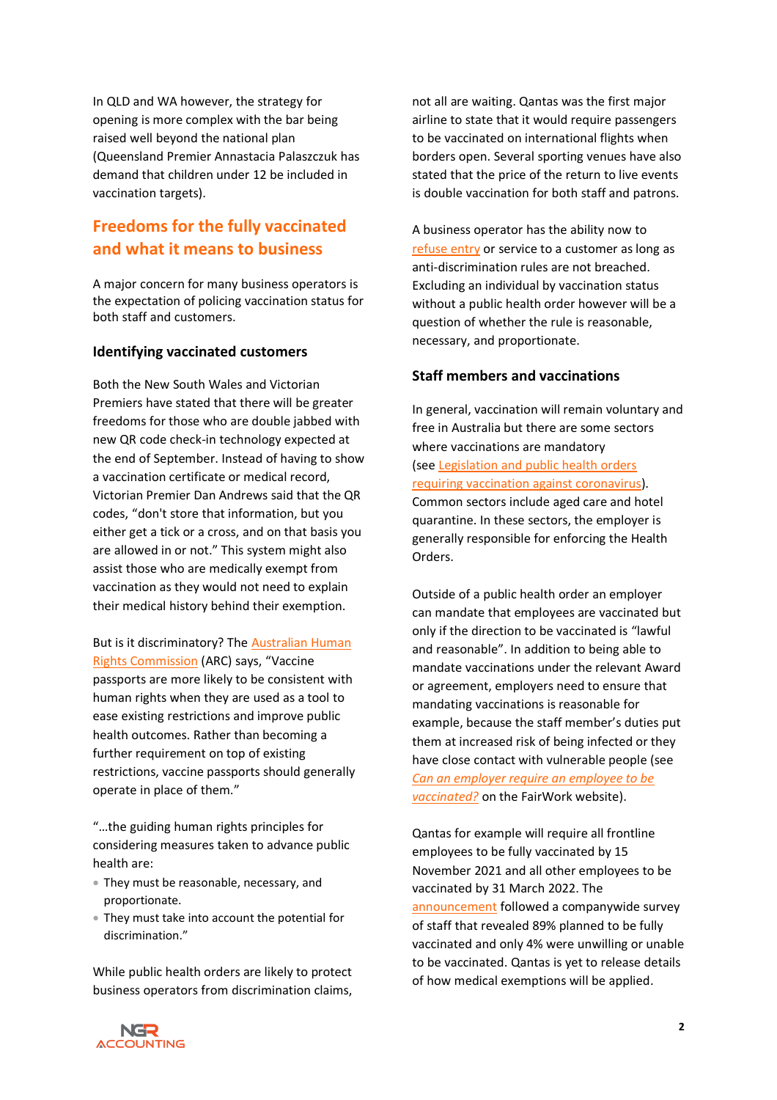In QLD and WA however, the strategy for opening is more complex with the bar being raised well beyond the national plan (Queensland Premier Annastacia Palaszczuk has demand that children under 12 be included in vaccination targets).

### <span id="page-1-0"></span>**Freedoms for the fully vaccinated and what it means to business**

<span id="page-1-1"></span>A major concern for many business operators is the expectation of policing vaccination status for both staff and customers.

### <span id="page-1-2"></span>**Identifying vaccinated customers**

Both the New South Wales and Victorian Premiers have stated that there will be greater freedoms for those who are double jabbed with new QR code check-in technology expected at the end of September. Instead of having to show a vaccination certificate or medical record, Victorian Premier Dan Andrews said that the QR codes, "don't store that information, but you either get a tick or a cross, and on that basis you are allowed in or not." This system might also assist those who are medically exempt from vaccination as they would not need to explain their medical history behind their exemption.

But is it discriminatory? The [Australian Human](https://humanrights.gov.au/our-work/rights-and-freedoms/human-rights-considerations-vaccine-passports)  [Rights Commission](https://humanrights.gov.au/our-work/rights-and-freedoms/human-rights-considerations-vaccine-passports) (ARC) says, "Vaccine passports are more likely to be consistent with human rights when they are used as a tool to ease existing restrictions and improve public health outcomes. Rather than becoming a further requirement on top of existing restrictions, vaccine passports should generally operate in place of them."

"…the guiding human rights principles for considering measures taken to advance public health are:

- They must be reasonable, necessary, and proportionate.
- They must take into account the potential for discrimination."

While public health orders are likely to protect business operators from discrimination claims,

not all are waiting. Qantas was the first major airline to state that it would require passengers to be vaccinated on international flights when borders open. Several sporting venues have also stated that the price of the return to live events is double vaccination for both staff and patrons.

A business operator has the ability now to [refuse entry](https://business.gov.au/people/customers/refuse-service) or service to a customer as long as anti-discrimination rules are not breached. Excluding an individual by vaccination status without a public health order however will be a question of whether the rule is reasonable, necessary, and proportionate.

### <span id="page-1-3"></span>**Staff members and vaccinations**

In general, vaccination will remain voluntary and free in Australia but there are some sectors where vaccinations are mandatory (see [Legislation and public health orders](https://coronavirus.fairwork.gov.au/coronavirus-and-australian-workplace-laws/covid-19-vaccinations-and-the-workplace/covid-19-vaccinations-workplace-rights-and-obligations#legislation-and-public-health-orders)  [requiring vaccination against coronavirus\)](https://coronavirus.fairwork.gov.au/coronavirus-and-australian-workplace-laws/covid-19-vaccinations-and-the-workplace/covid-19-vaccinations-workplace-rights-and-obligations#legislation-and-public-health-orders). Common sectors include aged care and hotel quarantine. In these sectors, the employer is generally responsible for enforcing the Health Orders.

Outside of a public health order an employer can mandate that employees are vaccinated but only if the direction to be vaccinated is "lawful and reasonable". In addition to being able to mandate vaccinations under the relevant Award or agreement, employers need to ensure that mandating vaccinations is reasonable for example, because the staff member's duties put them at increased risk of being infected or they have close contact with vulnerable people (see *[Can an employer require an employee to be](https://coronavirus.fairwork.gov.au/coronavirus-and-australian-workplace-laws/covid-19-vaccinations-and-the-workplace/covid-19-vaccinations-workplace-rights-and-obligations#can-an-employer-require-an-employee-to-be-vaccinated)  [vaccinated?](https://coronavirus.fairwork.gov.au/coronavirus-and-australian-workplace-laws/covid-19-vaccinations-and-the-workplace/covid-19-vaccinations-workplace-rights-and-obligations#can-an-employer-require-an-employee-to-be-vaccinated)* on the FairWork website).

Qantas for example will require all frontline employees to be fully vaccinated by 15 November 2021 and all other employees to be vaccinated by 31 March 2022. The [announcement](https://www.qantasnewsroom.com.au/media-releases/qantas-group-to-require-employees-to-be-vaccinated-against-covid-19/) followed a companywide survey of staff that revealed 89% planned to be fully vaccinated and only 4% were unwilling or unable to be vaccinated. Qantas is yet to release details of how medical exemptions will be applied.

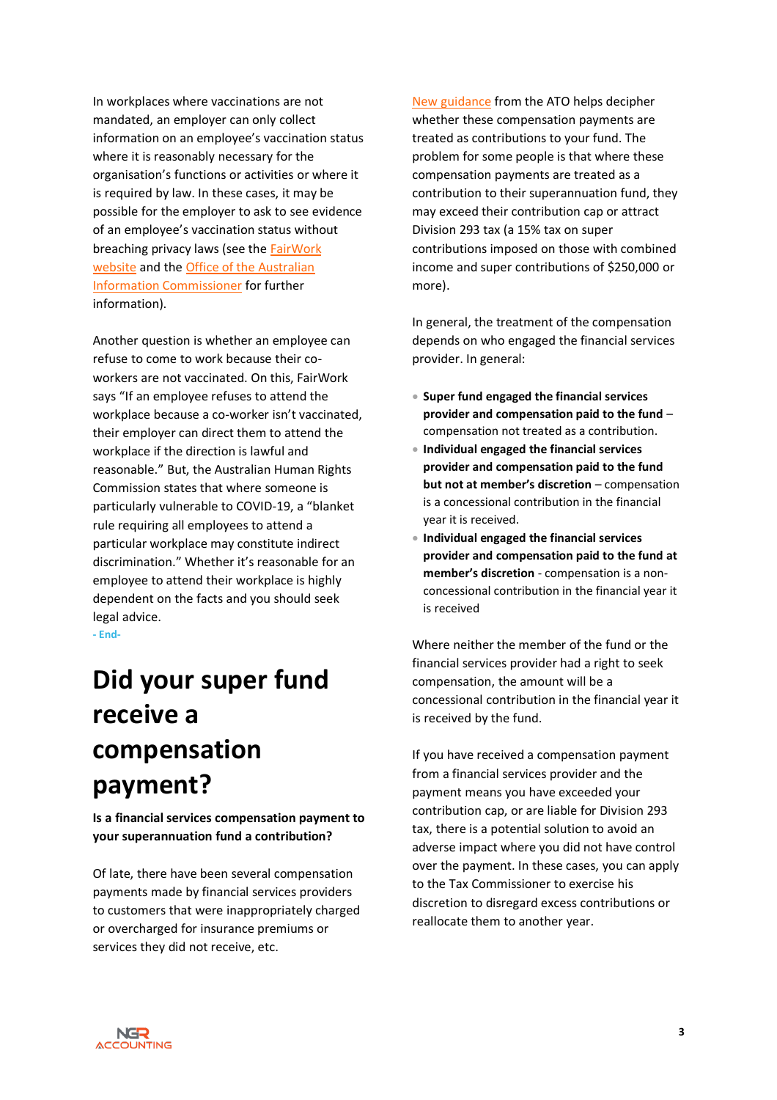In workplaces where vaccinations are not mandated, an employer can only collect information on an employee's vaccination status where it is reasonably necessary for the organisation's functions or activities or where it is required by law. In these cases, it may be possible for the employer to ask to see evidence of an employee's vaccination status without breaching privacy laws (see th[e FairWork](https://coronavirus.fairwork.gov.au/coronavirus-and-australian-workplace-laws/covid-19-vaccinations-and-the-workplace/covid-19-vaccinations-workplace-rights-and-obligations#providing-evidence-of-vaccination)  [website](https://coronavirus.fairwork.gov.au/coronavirus-and-australian-workplace-laws/covid-19-vaccinations-and-the-workplace/covid-19-vaccinations-workplace-rights-and-obligations#providing-evidence-of-vaccination) and the [Office of the Australian](https://www.oaic.gov.au/privacy/guidance-and-advice/coronavirus-covid-19-vaccinations-understanding-your-privacy-obligations-to-your-staff/)  [Information Commissioner](https://www.oaic.gov.au/privacy/guidance-and-advice/coronavirus-covid-19-vaccinations-understanding-your-privacy-obligations-to-your-staff/) for further information).

Another question is whether an employee can refuse to come to work because their coworkers are not vaccinated. On this, FairWork says "If an employee refuses to attend the workplace because a co-worker isn't vaccinated, their employer can direct them to attend the workplace if the direction is lawful and reasonable." But, the Australian Human Rights Commission states that where someone is particularly vulnerable to COVID-19, a "blanket rule requiring all employees to attend a particular workplace may constitute indirect discrimination." Whether it's reasonable for an employee to attend their workplace is highly dependent on the facts and you should seek legal advice. **- End-**

### <span id="page-2-0"></span>**Did your super fund receive a compensation payment?**

**Is a financial services compensation payment to your superannuation fund a contribution?**

Of late, there have been several compensation payments made by financial services providers to customers that were inappropriately charged or overcharged for insurance premiums or services they did not receive, etc.

[New guidance](https://www.ato.gov.au/law/view/view.htm?docid=%22AFS%2FSuperContributionCaps%2F00001%22) from the ATO helps decipher whether these compensation payments are treated as contributions to your fund. The problem for some people is that where these compensation payments are treated as a contribution to their superannuation fund, they may exceed their contribution cap or attract Division 293 tax (a 15% tax on super contributions imposed on those with combined income and super contributions of \$250,000 or more).

In general, the treatment of the compensation depends on who engaged the financial services provider. In general:

- **Super fund engaged the financial services provider and compensation paid to the fund** – compensation not treated as a contribution.
- **Individual engaged the financial services provider and compensation paid to the fund but not at member's discretion** – compensation is a concessional contribution in the financial year it is received.
- **Individual engaged the financial services provider and compensation paid to the fund at member's discretion** - compensation is a nonconcessional contribution in the financial year it is received

Where neither the member of the fund or the financial services provider had a right to seek compensation, the amount will be a concessional contribution in the financial year it is received by the fund.

If you have received a compensation payment from a financial services provider and the payment means you have exceeded your contribution cap, or are liable for Division 293 tax, there is a potential solution to avoid an adverse impact where you did not have control over the payment. In these cases, you can apply to the Tax Commissioner to exercise his discretion to disregard excess contributions or reallocate them to another year.

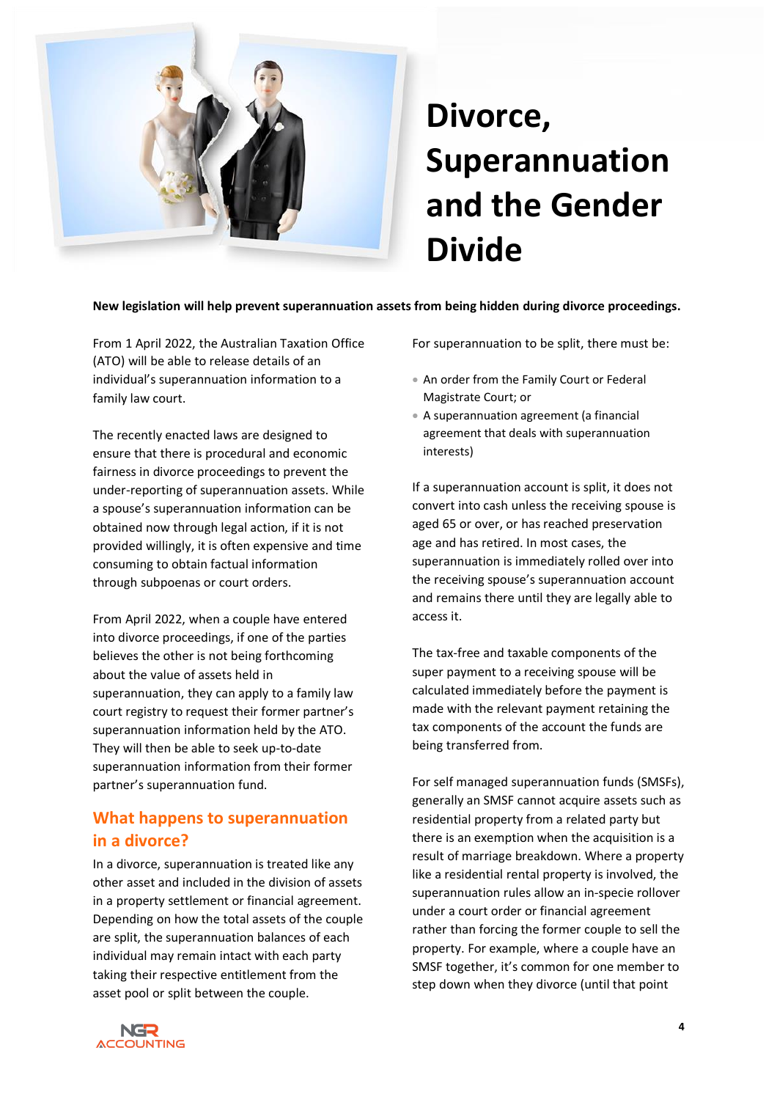<span id="page-3-0"></span>

## **Divorce, Superannuation and the Gender Divide**

**New legislation will help prevent superannuation assets from being hidden during divorce proceedings.**

From 1 April 2022, the Australian Taxation Office (ATO) will be able to release details of an individual's superannuation information to a family law court.

The recently enacted laws are designed to ensure that there is procedural and economic fairness in divorce proceedings to prevent the under-reporting of superannuation assets. While a spouse's superannuation information can be obtained now through legal action, if it is not provided willingly, it is often expensive and time consuming to obtain factual information through subpoenas or court orders.

From April 2022, when a couple have entered into divorce proceedings, if one of the parties believes the other is not being forthcoming about the value of assets held in superannuation, they can apply to a family law court registry to request their former partner's superannuation information held by the ATO. They will then be able to seek up-to-date superannuation information from their former partner's superannuation fund.

### <span id="page-3-1"></span>**What happens to superannuation in a divorce?**

In a divorce, superannuation is treated like any other asset and included in the division of assets in a property settlement or financial agreement. Depending on how the total assets of the couple are split, the superannuation balances of each individual may remain intact with each party taking their respective entitlement from the asset pool or split between the couple.

For superannuation to be split, there must be:

- An order from the Family Court or Federal Magistrate Court; or
- A superannuation agreement (a financial agreement that deals with superannuation interests)

If a superannuation account is split, it does not convert into cash unless the receiving spouse is aged 65 or over, or has reached preservation age and has retired. In most cases, the superannuation is immediately rolled over into the receiving spouse's superannuation account and remains there until they are legally able to access it.

The tax-free and taxable components of the super payment to a receiving spouse will be calculated immediately before the payment is made with the relevant payment retaining the tax components of the account the funds are being transferred from.

For self managed superannuation funds (SMSFs), generally an SMSF cannot acquire assets such as residential property from a related party but there is an exemption when the acquisition is a result of marriage breakdown. Where a property like a residential rental property is involved, the superannuation rules allow an in-specie rollover under a court order or financial agreement rather than forcing the former couple to sell the property. For example, where a couple have an SMSF together, it's common for one member to step down when they divorce (until that point

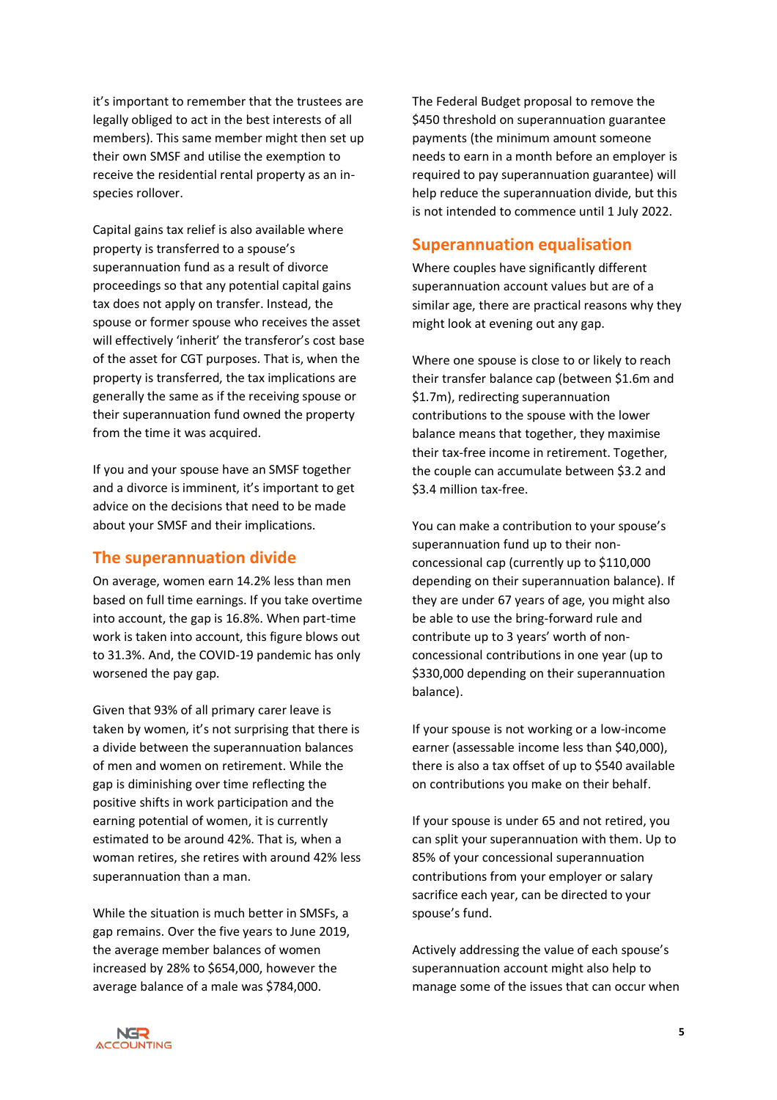it's important to remember that the trustees are legally obliged to act in the best interests of all members). This same member might then set up their own SMSF and utilise the exemption to receive the residential rental property as an inspecies rollover.

Capital gains tax relief is also available where property is transferred to a spouse's superannuation fund as a result of divorce proceedings so that any potential capital gains tax does not apply on transfer. Instead, the spouse or former spouse who receives the asset will effectively 'inherit' the transferor's cost base of the asset for CGT purposes. That is, when the property is transferred, the tax implications are generally the same as if the receiving spouse or their superannuation fund owned the property from the time it was acquired.

If you and your spouse have an SMSF together and a divorce is imminent, it's important to get advice on the decisions that need to be made about your SMSF and their implications.

### <span id="page-4-0"></span>**The superannuation divide**

On average, women earn 14.2% less than men based on full time earnings. If you take overtime into account, the gap is 16.8%. When part-time work is taken into account, this figure blows out to 31.3%. And, the COVID-19 pandemic has only worsened the pay gap.

Given that 93% of all primary carer leave is taken by women, it's not surprising that there is a divide between the superannuation balances of men and women on retirement. While the gap is diminishing over time reflecting the positive shifts in work participation and the earning potential of women, it is currently estimated to be around 42%. That is, when a woman retires, she retires with around 42% less superannuation than a man.

While the situation is much better in SMSFs, a gap remains. Over the five years to June 2019, the average member balances of women increased by 28% to \$654,000, however the average balance of a male was \$784,000.

The Federal Budget proposal to remove the \$450 threshold on superannuation guarantee payments (the minimum amount someone needs to earn in a month before an employer is required to pay superannuation guarantee) will help reduce the superannuation divide, but this is not intended to commence until 1 July 2022.

### <span id="page-4-1"></span>**Superannuation equalisation**

Where couples have significantly different superannuation account values but are of a similar age, there are practical reasons why they might look at evening out any gap.

Where one spouse is close to or likely to reach their transfer balance cap (between \$1.6m and \$1.7m), redirecting superannuation contributions to the spouse with the lower balance means that together, they maximise their tax-free income in retirement. Together, the couple can accumulate between \$3.2 and \$3.4 million tax-free.

You can make a contribution to your spouse's superannuation fund up to their nonconcessional cap (currently up to \$110,000 depending on their superannuation balance). If they are under 67 years of age, you might also be able to use the bring-forward rule and contribute up to 3 years' worth of nonconcessional contributions in one year (up to \$330,000 depending on their superannuation balance).

If your spouse is not working or a low-income earner (assessable income less than \$40,000), there is also a tax offset of up to \$540 available on contributions you make on their behalf.

If your spouse is under 65 and not retired, you can split your superannuation with them. Up to 85% of your concessional superannuation contributions from your employer or salary sacrifice each year, can be directed to your spouse's fund.

Actively addressing the value of each spouse's superannuation account might also help to manage some of the issues that can occur when